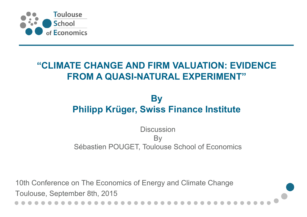

## **"CLIMATE CHANGE AND FIRM VALUATION: EVIDENCE FROM A QUASI-NATURAL EXPERIMENT"**

## **By Philipp Krüger, Swiss Finance Institute**

**Discussion By** Sébastien POUGET, Toulouse School of Economics

10th Conference on The Economics of Energy and Climate Change Toulouse, September 8th, 2015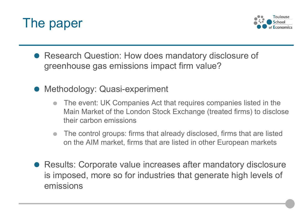



- Research Question: How does mandatory disclosure of greenhouse gas emissions impact firm value?
- Methodology: Quasi-experiment
	- The event: UK Companies Act that requires companies listed in the Main Market of the London Stock Exchange (treated firms) to disclose their carbon emissions
	- The control groups: firms that already disclosed, firms that are listed on the AIM market, firms that are listed in other European markets
- Results: Corporate value increases after mandatory disclosure is imposed, more so for industries that generate high levels of emissions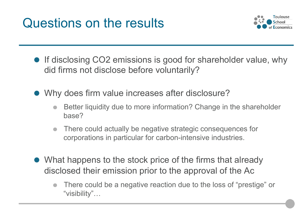

- If disclosing CO2 emissions is good for shareholder value, why did firms not disclose before voluntarily?
- Why does firm value increases after disclosure?
	- Better liquidity due to more information? Change in the shareholder base?
	- There could actually be negative strategic consequences for corporations in particular for carbon-intensive industries.
- What happens to the stock price of the firms that already disclosed their emission prior to the approval of the Ac
	- There could be a negative reaction due to the loss of "prestige" or "visibility"…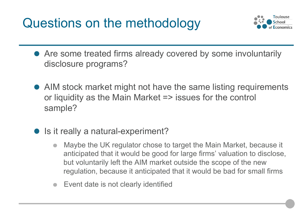Questions on the methodology



- Are some treated firms already covered by some involuntarily disclosure programs?
- AIM stock market might not have the same listing requirements or liquidity as the Main Market => issues for the control sample?
- Is it really a natural-experiment?
	- Maybe the UK regulator chose to target the Main Market, because it anticipated that it would be good for large firms' valuation to disclose, but voluntarily left the AIM market outside the scope of the new regulation, because it anticipated that it would be bad for small firms
	- Event date is not clearly identified